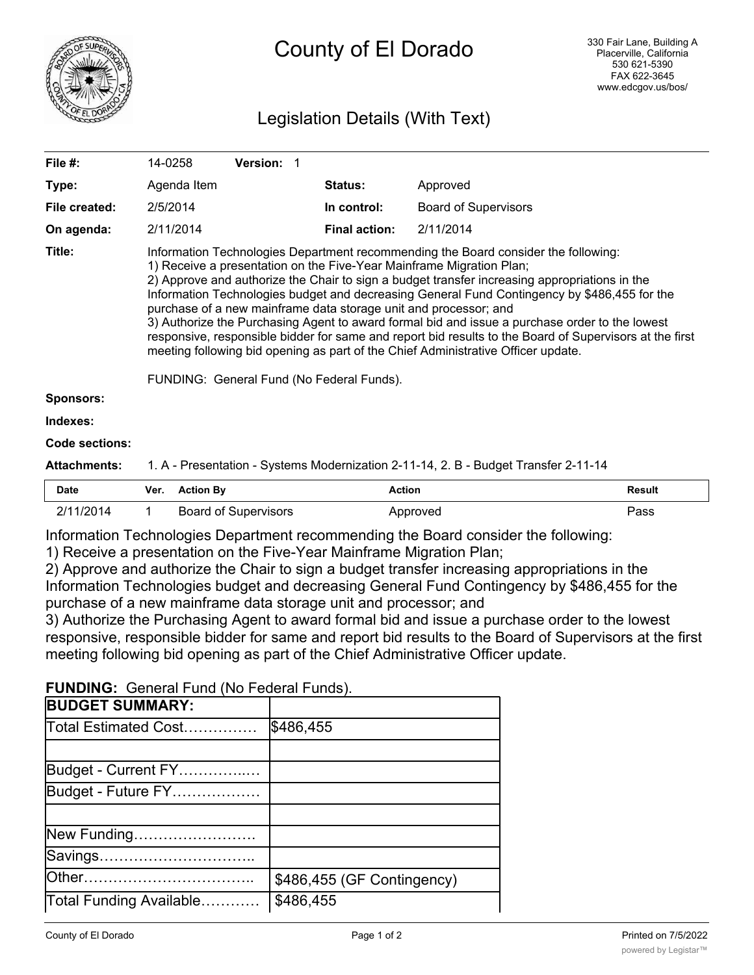

# County of El Dorado

## Legislation Details (With Text)

|             |                      | 1. A - Presentation - Systems Modernization 2-11-14, 2. B - Budget Transfer 2-11-14                                                                                                                                                                                                                                                                                                                                                                               |
|-------------|----------------------|-------------------------------------------------------------------------------------------------------------------------------------------------------------------------------------------------------------------------------------------------------------------------------------------------------------------------------------------------------------------------------------------------------------------------------------------------------------------|
|             |                      |                                                                                                                                                                                                                                                                                                                                                                                                                                                                   |
|             |                      |                                                                                                                                                                                                                                                                                                                                                                                                                                                                   |
|             |                      |                                                                                                                                                                                                                                                                                                                                                                                                                                                                   |
|             |                      |                                                                                                                                                                                                                                                                                                                                                                                                                                                                   |
|             |                      |                                                                                                                                                                                                                                                                                                                                                                                                                                                                   |
|             |                      | Information Technologies budget and decreasing General Fund Contingency by \$486,455 for the<br>3) Authorize the Purchasing Agent to award formal bid and issue a purchase order to the lowest<br>responsive, responsible bidder for same and report bid results to the Board of Supervisors at the first                                                                                                                                                         |
| 2/11/2014   | <b>Final action:</b> | 2/11/2014                                                                                                                                                                                                                                                                                                                                                                                                                                                         |
| 2/5/2014    | In control:          | <b>Board of Supervisors</b>                                                                                                                                                                                                                                                                                                                                                                                                                                       |
| Agenda Item | <b>Status:</b>       | Approved                                                                                                                                                                                                                                                                                                                                                                                                                                                          |
| 14-0258     |                      |                                                                                                                                                                                                                                                                                                                                                                                                                                                                   |
|             | Version: 1           | Information Technologies Department recommending the Board consider the following:<br>1) Receive a presentation on the Five-Year Mainframe Migration Plan;<br>2) Approve and authorize the Chair to sign a budget transfer increasing appropriations in the<br>purchase of a new mainframe data storage unit and processor; and<br>meeting following bid opening as part of the Chief Administrative Officer update.<br>FUNDING: General Fund (No Federal Funds). |

| Date      | Ver. | <b>Action By</b>            | Action   | Result |
|-----------|------|-----------------------------|----------|--------|
| 2/11/2014 |      | <b>Board of Supervisors</b> | Approved | Pass   |

Information Technologies Department recommending the Board consider the following:

1) Receive a presentation on the Five-Year Mainframe Migration Plan;

2) Approve and authorize the Chair to sign a budget transfer increasing appropriations in the Information Technologies budget and decreasing General Fund Contingency by \$486,455 for the purchase of a new mainframe data storage unit and processor; and

3) Authorize the Purchasing Agent to award formal bid and issue a purchase order to the lowest responsive, responsible bidder for same and report bid results to the Board of Supervisors at the first meeting following bid opening as part of the Chief Administrative Officer update.

**FUNDING:** General Fund (No Federal Funds).

| <b>BUDGET SUMMARY:</b>  |                            |
|-------------------------|----------------------------|
| Total Estimated Cost    | \$486,455                  |
|                         |                            |
| Budget - Current FY     |                            |
| Budget - Future FY      |                            |
|                         |                            |
| New Funding             |                            |
| Savings                 |                            |
|                         | \$486,455 (GF Contingency) |
| Total Funding Available | \$486,455                  |